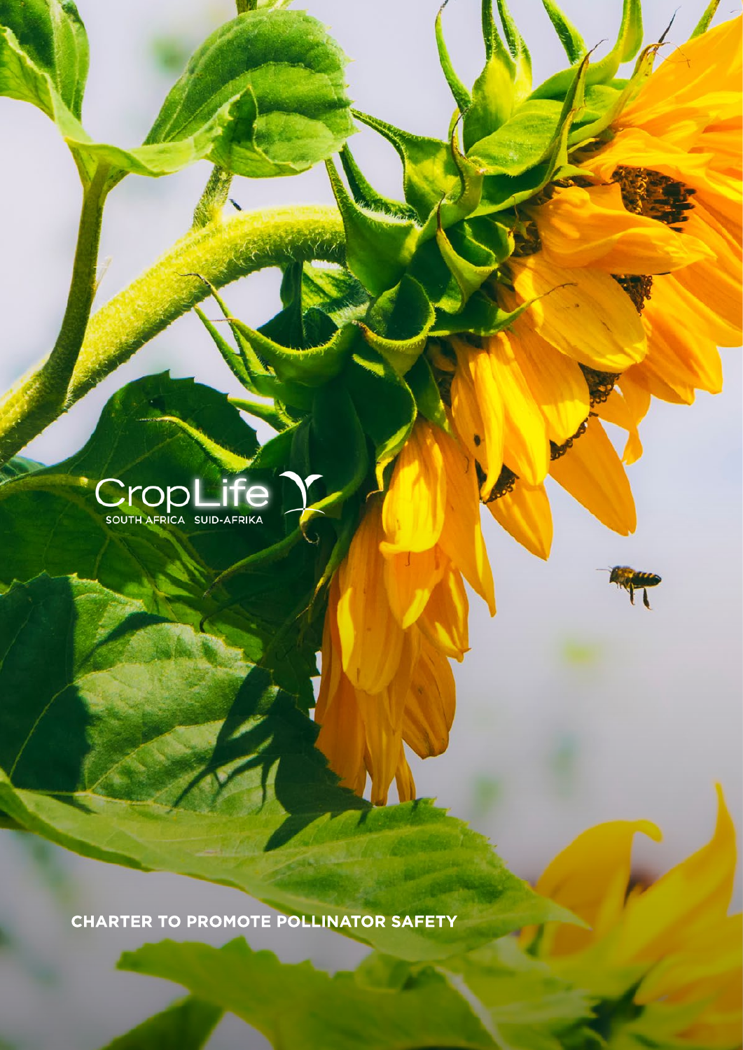

**CHARTER TO PROMOTE POLLINATOR SAFETY**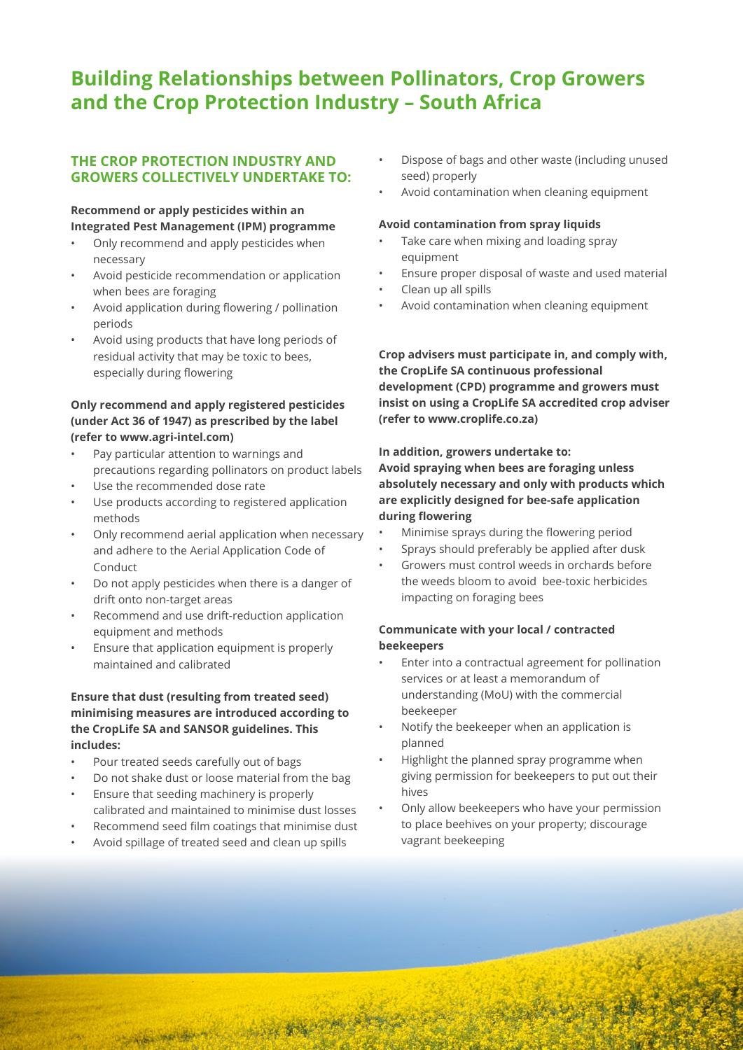# **Building Relationships between Pollinators, Crop Growers and the Crop Protection Industry – South Africa**

# **THE CROP PROTECTION INDUSTRY AND GROWERS COLLECTIVELY UNDERTAKE TO:**

# **Recommend or apply pesticides within an Integrated Pest Management (IPM) programme**

- Only recommend and apply pesticides when necessary
- Avoid pesticide recommendation or application when bees are foraging
- Avoid application during flowering / pollination periods
- Avoid using products that have long periods of residual activity that may be toxic to bees, especially during flowering

#### **Only recommend and apply registered pesticides (under Act 36 of 1947) as prescribed by the label (refer to www.agri-intel.com)**

- Pay particular attention to warnings and precautions regarding pollinators on product labels
- Use the recommended dose rate
- Use products according to registered application methods
- Only recommend aerial application when necessary and adhere to the Aerial Application Code of Conduct
- Do not apply pesticides when there is a danger of drift onto non-target areas
- Recommend and use drift-reduction application equipment and methods
- Ensure that application equipment is properly maintained and calibrated

## **Ensure that dust (resulting from treated seed) minimising measures are introduced according to the CropLife SA and SANSOR guidelines. This includes:**

- Pour treated seeds carefully out of bags
- Do not shake dust or loose material from the bag
- Ensure that seeding machinery is properly calibrated and maintained to minimise dust losses
- Recommend seed film coatings that minimise dust
- Avoid spillage of treated seed and clean up spills

林家小地

- Dispose of bags and other waste (including unused seed) properly
- Avoid contamination when cleaning equipment

#### **Avoid contamination from spray liquids**

- Take care when mixing and loading spray equipment
- Ensure proper disposal of waste and used material
- Clean up all spills
- Avoid contamination when cleaning equipment

**Crop advisers must participate in, and comply with, the CropLife SA continuous professional development (CPD) programme and growers must insist on using a CropLife SA accredited crop adviser (refer to www.croplife.co.za)**

#### **In addition, growers undertake to: Avoid spraying when bees are foraging unless absolutely necessary and only with products which are explicitly designed for bee-safe application during flowering**

- Minimise sprays during the flowering period
- Sprays should preferably be applied after dusk
- Growers must control weeds in orchards before the weeds bloom to avoid bee-toxic herbicides impacting on foraging bees

## **Communicate with your local / contracted beekeepers**

- Enter into a contractual agreement for pollination services or at least a memorandum of understanding (MoU) with the commercial beekeeper
- Notify the beekeeper when an application is planned
- Highlight the planned spray programme when giving permission for beekeepers to put out their hives
- Only allow beekeepers who have your permission to place beehives on your property; discourage vagrant beekeeping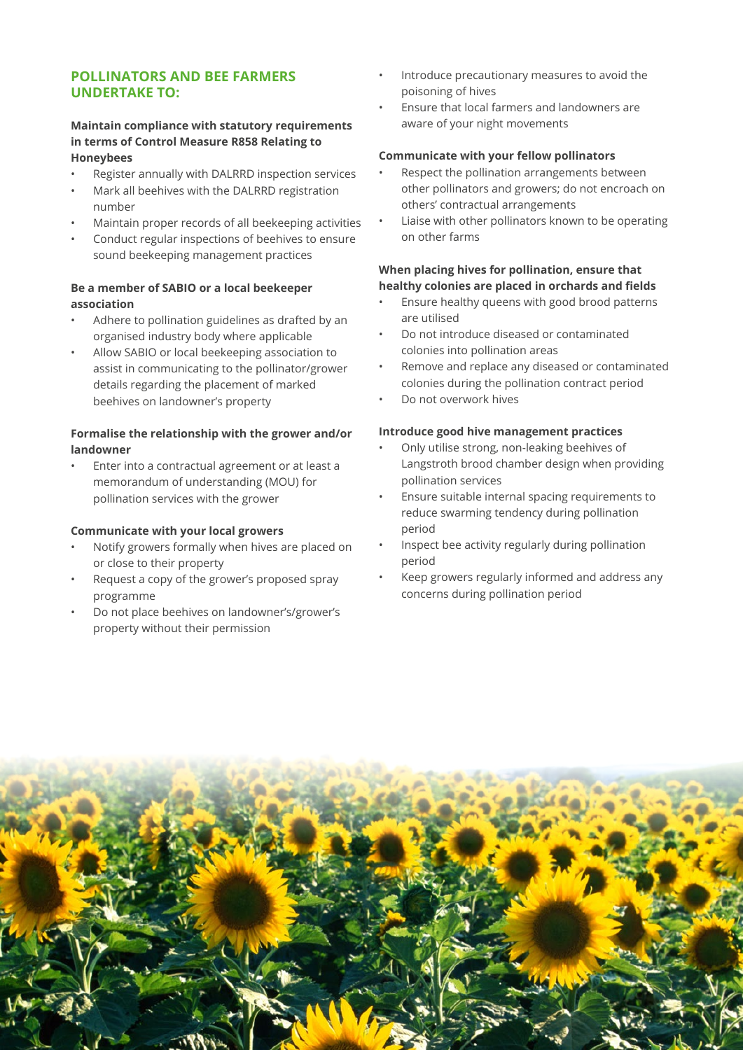# **POLLINATORS AND BEE FARMERS UNDERTAKE TO:**

#### **Maintain compliance with statutory requirements in terms of Control Measure R858 Relating to Honeybees**

- Register annually with DALRRD inspection services
- Mark all beehives with the DALRRD registration number
- Maintain proper records of all beekeeping activities
- Conduct regular inspections of beehives to ensure sound beekeeping management practices

## **Be a member of SABIO or a local beekeeper association**

- Adhere to pollination guidelines as drafted by an organised industry body where applicable
- Allow SABIO or local beekeeping association to assist in communicating to the pollinator/grower details regarding the placement of marked beehives on landowner's property

## **Formalise the relationship with the grower and/or landowner**

• Enter into a contractual agreement or at least a memorandum of understanding (MOU) for pollination services with the grower

#### **Communicate with your local growers**

- Notify growers formally when hives are placed on or close to their property
- Request a copy of the grower's proposed spray programme
- Do not place beehives on landowner's/grower's property without their permission
- Introduce precautionary measures to avoid the poisoning of hives
- Ensure that local farmers and landowners are aware of your night movements

#### **Communicate with your fellow pollinators**

- Respect the pollination arrangements between other pollinators and growers; do not encroach on others' contractual arrangements
- Liaise with other pollinators known to be operating on other farms

#### **When placing hives for pollination, ensure that healthy colonies are placed in orchards and fields**

- Ensure healthy queens with good brood patterns are utilised
- Do not introduce diseased or contaminated colonies into pollination areas
- Remove and replace any diseased or contaminated colonies during the pollination contract period
- Do not overwork hives

#### **Introduce good hive management practices**

- Only utilise strong, non-leaking beehives of Langstroth brood chamber design when providing pollination services
- Ensure suitable internal spacing requirements to reduce swarming tendency during pollination period
- Inspect bee activity regularly during pollination period
- Keep growers regularly informed and address any concerns during pollination period